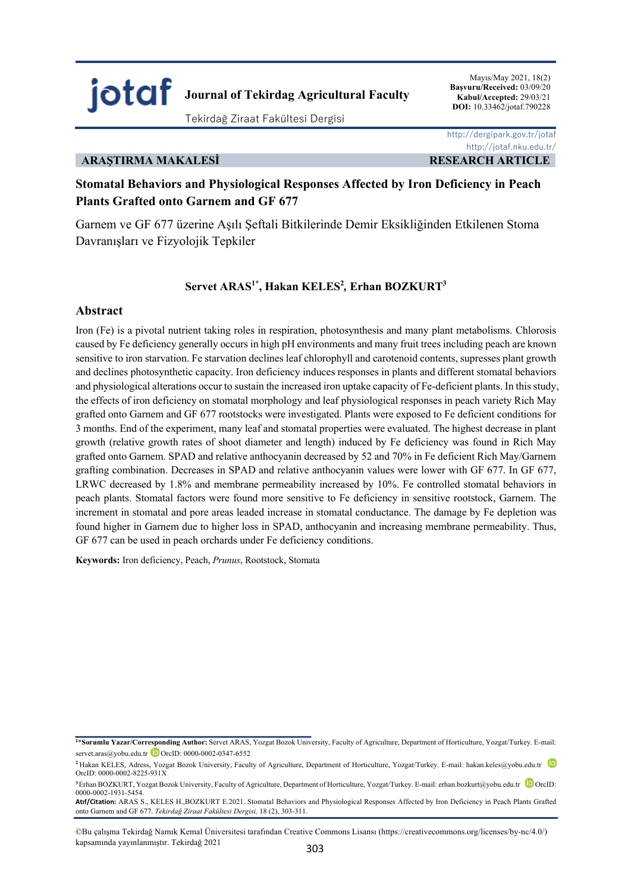

Mayıs/May 2021, 18(2) **Başvuru/Received:** 03/09/20 **Kabul/Accepted:** 29/03/21  **DOI:** 10.33462/jotaf.790228

## **ARAŞTIRMA MAKALESİ RESEARCH ARTICLE**

 http://dergipark.gov.tr/jotaf http://jotaf.nku.edu.tr/

# **Stomatal Behaviors and Physiological Responses Affected by Iron Deficiency in Peach Plants Grafted onto Garnem and GF 677**

Garnem ve GF 677 üzerine Aşılı Şeftali Bitkilerinde Demir Eksikliğinden Etkilenen Stoma Davranışları ve Fizyolojik Tepkiler

## $S$ ervet ARAS<sup>1\*</sup>, Hakan KELES<sup>2</sup>, Erhan BOZKURT<sup>3</sup>

## **Abstract**

Iron (Fe) is a pivotal nutrient taking roles in respiration, photosynthesis and many plant metabolisms. Chlorosis caused by Fe deficiency generally occurs in high pH environments and many fruit trees including peach are known sensitive to iron starvation. Fe starvation declines leaf chlorophyll and carotenoid contents, supresses plant growth and declines photosynthetic capacity. Iron deficiency induces responses in plants and different stomatal behaviors and physiological alterations occur to sustain the increased iron uptake capacity of Fe-deficient plants. In this study, the effects of iron deficiency on stomatal morphology and leaf physiological responses in peach variety Rich May grafted onto Garnem and GF 677 rootstocks were investigated. Plants were exposed to Fe deficient conditions for 3 months. End of the experiment, many leaf and stomatal properties were evaluated. The highest decrease in plant growth (relative growth rates of shoot diameter and length) induced by Fe deficiency was found in Rich May grafted onto Garnem. SPAD and relative anthocyanin decreased by 52 and 70% in Fe deficient Rich May/Garnem grafting combination. Decreases in SPAD and relative anthocyanin values were lower with GF 677. In GF 677, LRWC decreased by 1.8% and membrane permeability increased by 10%. Fe controlled stomatal behaviors in peach plants. Stomatal factors were found more sensitive to Fe deficiency in sensitive rootstock, Garnem. The increment in stomatal and pore areas leaded increase in stomatal conductance. The damage by Fe depletion was found higher in Garnem due to higher loss in SPAD, anthocyanin and increasing membrane permeability. Thus, GF 677 can be used in peach orchards under Fe deficiency conditions.

**Keywords:** Iron deficiency, Peach, *Prunus*, Rootstock, Stomata

<sup>3</sup>Erhan BOZKURT, Yozgat Bozok University, Faculty of Agriculture, Department of Horticulture, Yozgat/Turkey. E-mail: erhan.bozkurt@yobu.edu.tr <sup>1</sup>OrcID: 0000-0002-1931-5454.

**Atıf/Citation:** ARAS S., KELES H.,BOZKURT E.2021. Stomatal Behaviors and Physiological Responses Affected by Iron Deficiency in Peach Plants Grafted onto Garnem and GF 677. *Tekirdağ Ziraat Fakültesi Dergisi,* 18 (2), 303-311.

**<sup>1</sup>**\***Sorumlu Yazar/Corresponding Author:** Servet ARAS, Yozgat Bozok University, Faculty of Agriculture, Department of Horticulture, Yozgat/Turkey. E-mail: servet.aras@yobu.edu.tr D OrcID: 0000-0002-0347-6552

<sup>&</sup>lt;sup>2</sup> Hakan KELES, Adress, Yozgat Bozok University, Faculty of Agriculture, Department of Horticulture, Yozgat/Turkey. E-mail: hakan.keles@yobu.edu.tr OrcID: 0000-0002-8225-931X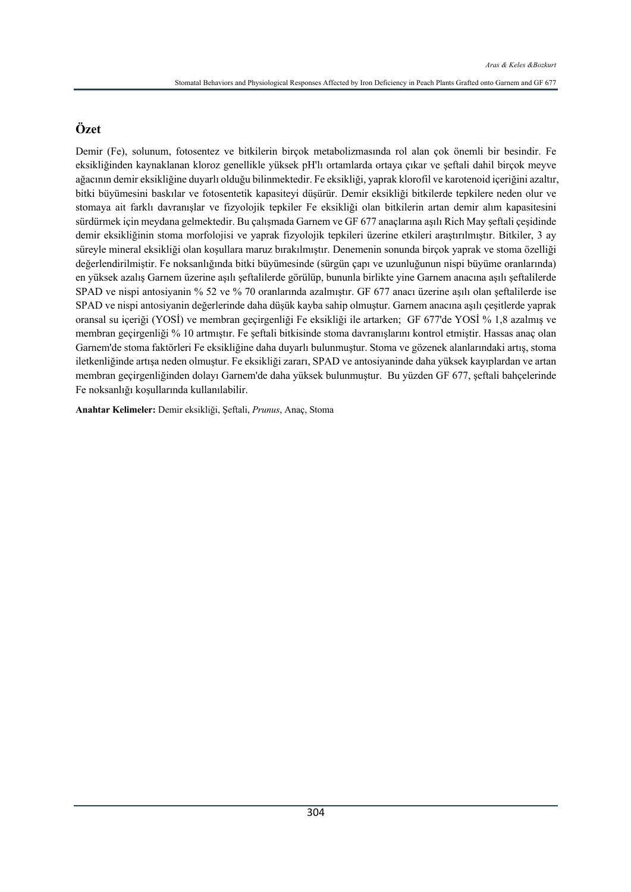# **Özet**

Demir (Fe), solunum, fotosentez ve bitkilerin birçok metabolizmasında rol alan çok önemli bir besindir. Fe eksikliğinden kaynaklanan kloroz genellikle yüksek pH'lı ortamlarda ortaya çıkar ve şeftali dahil birçok meyve ağacının demir eksikliğine duyarlı olduğu bilinmektedir. Fe eksikliği, yaprak klorofil ve karotenoid içeriğini azaltır, bitki büyümesini baskılar ve fotosentetik kapasiteyi düşürür. Demir eksikliği bitkilerde tepkilere neden olur ve stomaya ait farklı davranışlar ve fizyolojik tepkiler Fe eksikliği olan bitkilerin artan demir alım kapasitesini sürdürmek için meydana gelmektedir. Bu çalışmada Garnem ve GF 677 anaçlarına aşılı Rich May şeftali çeşidinde demir eksikliğinin stoma morfolojisi ve yaprak fizyolojik tepkileri üzerine etkileri araştırılmıştır. Bitkiler, 3 ay süreyle mineral eksikliği olan koşullara maruz bırakılmıştır. Denemenin sonunda birçok yaprak ve stoma özelliği değerlendirilmiştir. Fe noksanlığında bitki büyümesinde (sürgün çapı ve uzunluğunun nispi büyüme oranlarında) en yüksek azalış Garnem üzerine aşılı şeftalilerde görülüp, bununla birlikte yine Garnem anacına aşılı şeftalilerde SPAD ve nispi antosiyanin % 52 ve % 70 oranlarında azalmıştır. GF 677 anacı üzerine aşılı olan şeftalilerde ise SPAD ve nispi antosiyanin değerlerinde daha düşük kayba sahip olmuştur. Garnem anacına aşılı çeşitlerde yaprak oransal su içeriği (YOSİ) ve membran geçirgenliği Fe eksikliği ile artarken; GF 677'de YOSİ % 1,8 azalmış ve membran geçirgenliği % 10 artmıştır. Fe şeftali bitkisinde stoma davranışlarını kontrol etmiştir. Hassas anaç olan Garnem'de stoma faktörleri Fe eksikliğine daha duyarlı bulunmuştur. Stoma ve gözenek alanlarındaki artış, stoma iletkenliğinde artışa neden olmuştur. Fe eksikliği zararı, SPAD ve antosiyaninde daha yüksek kayıplardan ve artan membran geçirgenliğinden dolayı Garnem'de daha yüksek bulunmuştur. Bu yüzden GF 677, şeftali bahçelerinde Fe noksanlığı koşullarında kullanılabilir.

**Anahtar Kelimeler:** Demir eksikliği, Şeftali, *Prunus*, Anaç, Stoma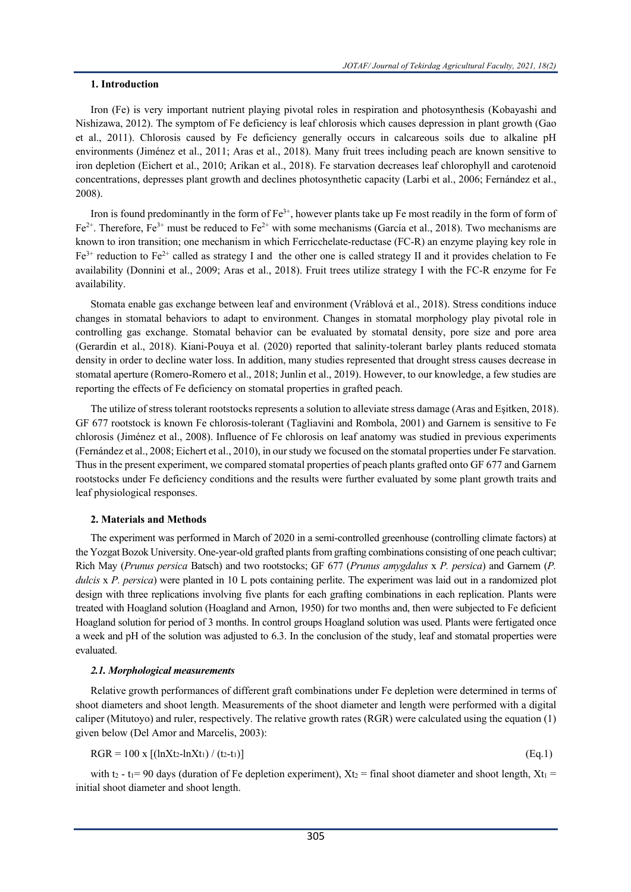### **1. Introduction**

Iron (Fe) is very important nutrient playing pivotal roles in respiration and photosynthesis (Kobayashi and Nishizawa, 2012). The symptom of Fe deficiency is leaf chlorosis which causes depression in plant growth (Gao et al., 2011). Chlorosis caused by Fe deficiency generally occurs in calcareous soils due to alkaline pH environments (Jiménez et al., 2011; Aras et al., 2018). Many fruit trees including peach are known sensitive to iron depletion (Eichert et al., 2010; Arikan et al., 2018). Fe starvation decreases leaf chlorophyll and carotenoid concentrations, depresses plant growth and declines photosynthetic capacity (Larbi et al., 2006; Fernández et al., 2008).

Iron is found predominantly in the form of  $Fe^{3+}$ , however plants take up Fe most readily in the form of form of  $Fe<sup>2+</sup>$ . Therefore, Fe<sup>3+</sup> must be reduced to Fe<sup>2+</sup> with some mechanisms (García et al., 2018). Two mechanisms are known to iron transition; one mechanism in which Ferricchelate-reductase (FC-R) an enzyme playing key role in Fe3+ reduction to Fe2+ called as strategy I and the other one is called strategy II and it provides chelation to Fe availability (Donnini et al., 2009; Aras et al., 2018). Fruit trees utilize strategy I with the FC-R enzyme for Fe availability.

Stomata enable gas exchange between leaf and environment (Vráblová et al., 2018). Stress conditions induce changes in stomatal behaviors to adapt to environment. Changes in stomatal morphology play pivotal role in controlling gas exchange. Stomatal behavior can be evaluated by stomatal density, pore size and pore area (Gerardin et al., 2018). Kiani-Pouya et al. (2020) reported that salinity-tolerant barley plants reduced stomata density in order to decline water loss. In addition, many studies represented that drought stress causes decrease in stomatal aperture (Romero-Romero et al., 2018; Junlin et al., 2019). However, to our knowledge, a few studies are reporting the effects of Fe deficiency on stomatal properties in grafted peach.

The utilize of stress tolerant rootstocks represents a solution to alleviate stress damage (Aras and Eşitken, 2018). GF 677 rootstock is known Fe chlorosis-tolerant (Tagliavini and Rombola, 2001) and Garnem is sensitive to Fe chlorosis (Jiménez et al., 2008). Influence of Fe chlorosis on leaf anatomy was studied in previous experiments (Fernández et al., 2008; Eichert et al., 2010), in our study we focused on the stomatal properties under Fe starvation. Thus in the present experiment, we compared stomatal properties of peach plants grafted onto GF 677 and Garnem rootstocks under Fe deficiency conditions and the results were further evaluated by some plant growth traits and leaf physiological responses.

### **2. Materials and Methods**

The experiment was performed in March of 2020 in a semi-controlled greenhouse (controlling climate factors) at the Yozgat Bozok University. One-year-old grafted plants from grafting combinations consisting of one peach cultivar; Rich May (*Prunus persica* Batsch) and two rootstocks; GF 677 (*Prunus amygdalus* x *P. persica*) and Garnem (*P. dulcis* x *P. persica*) were planted in 10 L pots containing perlite. The experiment was laid out in a randomized plot design with three replications involving five plants for each grafting combinations in each replication. Plants were treated with Hoagland solution (Hoagland and Arnon, 1950) for two months and, then were subjected to Fe deficient Hoagland solution for period of 3 months. In control groups Hoagland solution was used. Plants were fertigated once a week and pH of the solution was adjusted to 6.3. In the conclusion of the study, leaf and stomatal properties were evaluated.

### *2.1. Morphological measurements*

Relative growth performances of different graft combinations under Fe depletion were determined in terms of shoot diameters and shoot length. Measurements of the shoot diameter and length were performed with a digital caliper (Mitutoyo) and ruler, respectively. The relative growth rates (RGR) were calculated using the equation (1) given below (Del Amor and Marcelis, 2003):

$$
RGR = 100 \text{ x } [(lnXt_2 - lnXt_1) / (t_2 - t_1)] \tag{Eq.1}
$$

with t<sub>2</sub> - t<sub>1</sub> = 90 days (duration of Fe depletion experiment),  $Xt<sub>2</sub>$  = final shoot diameter and shoot length,  $Xt<sub>1</sub>$  = initial shoot diameter and shoot length.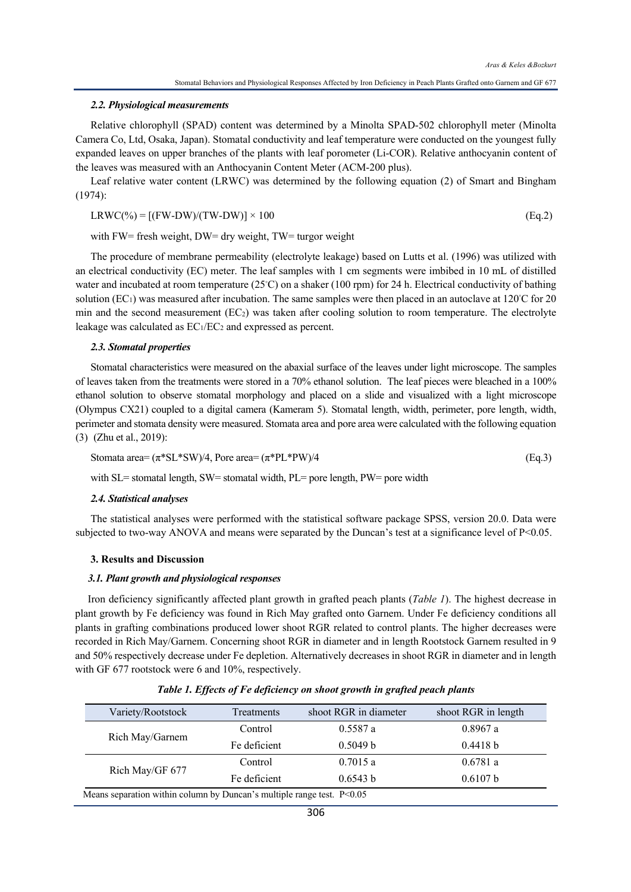#### *2.2. Physiological measurements*

Relative chlorophyll (SPAD) content was determined by a Minolta SPAD-502 chlorophyll meter (Minolta Camera Co, Ltd, Osaka, Japan). Stomatal conductivity and leaf temperature were conducted on the youngest fully expanded leaves on upper branches of the plants with leaf porometer (Li-COR). Relative anthocyanin content of the leaves was measured with an Anthocyanin Content Meter (ACM-200 plus).

Leaf relative water content (LRWC) was determined by the following equation (2) of Smart and Bingham (1974):

$$
LRWC(\%) = [(FW-DW)/(TW-DW)] \times 100
$$
 (Eq.2)

with FW= fresh weight, DW= dry weight, TW= turgor weight

The procedure of membrane permeability (electrolyte leakage) based on Lutts et al. (1996) was utilized with an electrical conductivity (EC) meter. The leaf samples with 1 cm segments were imbibed in 10 mL of distilled water and incubated at room temperature (25℃) on a shaker (100 rpm) for 24 h. Electrical conductivity of bathing solution (EC<sub>1</sub>) was measured after incubation. The same samples were then placed in an autoclave at  $120°C$  for 20 min and the second measurement  $(EC_2)$  was taken after cooling solution to room temperature. The electrolyte leakage was calculated as  $EC_1/EC_2$  and expressed as percent.

#### *2.3. Stomatal properties*

Stomatal characteristics were measured on the abaxial surface of the leaves under light microscope. The samples of leaves taken from the treatments were stored in a 70% ethanol solution. The leaf pieces were bleached in a 100% ethanol solution to observe stomatal morphology and placed on a slide and visualized with a light microscope (Olympus CX21) coupled to a digital camera (Kameram 5). Stomatal length, width, perimeter, pore length, width, perimeter and stomata density were measured. Stomata area and pore area were calculated with the following equation (3) (Zhu et al., 2019):

Stomata area = 
$$
(\pi^*SL^*SW)/4
$$
, Pore area =  $(\pi^*PL^*PW)/4$  (Eq.3)

with SL= stomatal length, SW= stomatal width, PL= pore length, PW= pore width

#### *2.4. Statistical analyses*

The statistical analyses were performed with the statistical software package SPSS, version 20.0. Data were subjected to two-way ANOVA and means were separated by the Duncan's test at a significance level of P<0.05.

#### **3. Results and Discussion**

#### *3.1. Plant growth and physiological responses*

Iron deficiency significantly affected plant growth in grafted peach plants (*Table 1*). The highest decrease in plant growth by Fe deficiency was found in Rich May grafted onto Garnem. Under Fe deficiency conditions all plants in grafting combinations produced lower shoot RGR related to control plants. The higher decreases were recorded in Rich May/Garnem. Concerning shoot RGR in diameter and in length Rootstock Garnem resulted in 9 and 50% respectively decrease under Fe depletion. Alternatively decreases in shoot RGR in diameter and in length with GF 677 rootstock were 6 and 10%, respectively.

| Variety/Rootstock | <b>Treatments</b> | shoot RGR in diameter | shoot RGR in length |
|-------------------|-------------------|-----------------------|---------------------|
|                   | Control           | $0.5587$ a            | 0.8967a             |
| Rich May/Garnem   | Fe deficient      | 0.5049 b              | 0.4418 b            |
|                   | Control           | 0.7015a               | 0.6781a             |
| Rich May/GF 677   | Fe deficient      | 0.6543 b              | 0.6107 b            |

*Table 1. Effects of Fe deficiency on shoot growth in grafted peach plants*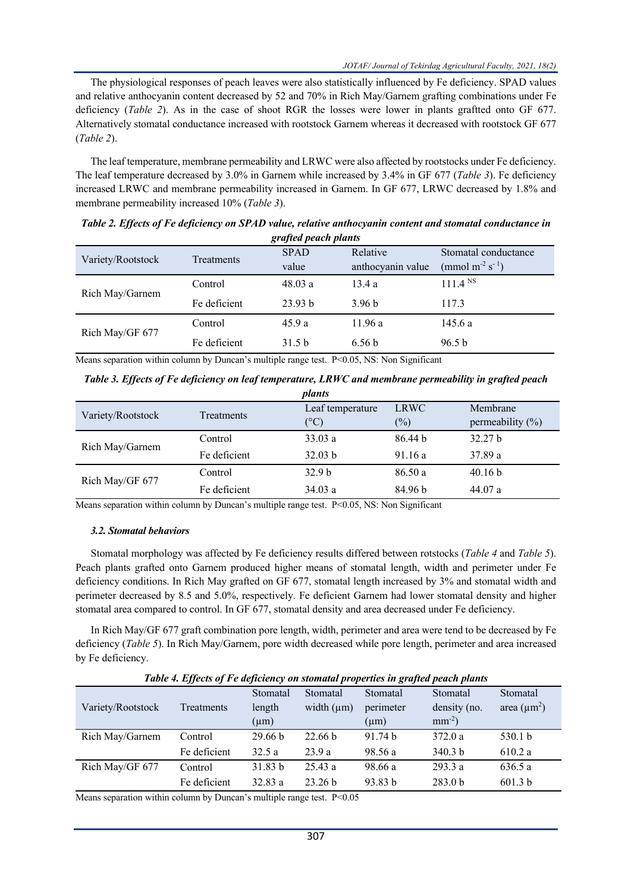The physiological responses of peach leaves were also statistically influenced by Fe deficiency. SPAD values and relative anthocyanin content decreased by 52 and 70% in Rich May/Garnem grafting combinations under Fe deficiency (*Table 2*). As in the case of shoot RGR the losses were lower in plants graftted onto GF 677. Alternatively stomatal conductance increased with rootstock Garnem whereas it decreased with rootstock GF 677 (*Table 2*).

The leaf temperature, membrane permeability and LRWC were also affected by rootstocks under Fe deficiency. The leaf temperature decreased by 3.0% in Garnem while increased by 3.4% in GF 677 (*Table 3*). Fe deficiency increased LRWC and membrane permeability increased in Garnem. In GF 677, LRWC decreased by 1.8% and membrane permeability increased 10% (*Table 3*).

| grupea peach piants |              |                    |                   |                                         |  |  |
|---------------------|--------------|--------------------|-------------------|-----------------------------------------|--|--|
| Variety/Rootstock   | Treatments   | <b>SPAD</b>        | Relative          | Stomatal conductance                    |  |  |
|                     |              | value              | anthocyanin value | (mmol m <sup>-2</sup> s <sup>-1</sup> ) |  |  |
| Rich May/Garnem     | Control      | 48.03a             | 13.4a             | 111.4 N <sub>S</sub>                    |  |  |
|                     | Fe deficient | 23.93 <sub>b</sub> | 3.96 <sub>b</sub> | 117.3                                   |  |  |
| Rich May/GF 677     | Control      | 45.9a              | 11.96a            | 145.6 a                                 |  |  |
|                     | Fe deficient | 31.5 <sub>b</sub>  | 6.56 <sub>b</sub> | 96.5 <sub>b</sub>                       |  |  |

*Table 2. Effects of Fe deficiency on SPAD value, relative anthocyanin content and stomatal conductance in grafted peach plants*

Means separation within column by Duncan's multiple range test. P<0.05, NS: Non Significant

*Table 3. Effects of Fe deficiency on leaf temperature, LRWC and membrane permeability in grafted peach plants*

| punis             |                   |                   |                    |                      |  |  |
|-------------------|-------------------|-------------------|--------------------|----------------------|--|--|
| Variety/Rootstock | <b>Treatments</b> | Leaf temperature  | <b>LRWC</b>        | Membrane             |  |  |
|                   |                   | $({}^{\circ}C)$   | (%)                | permeability $(\% )$ |  |  |
| Rich May/Garnem   | Control           | 33.03a            | 86.44 <sub>b</sub> | 32.27 <sub>b</sub>   |  |  |
|                   | Fe deficient      | 32.03 b           | 91.16a             | 37.89 a              |  |  |
| Rich May/GF 677   | Control           | 32.9 <sub>b</sub> | 86.50a             | 40.16 b              |  |  |
|                   | Fe deficient      | 34.03a            | 84.96 b            | 44.07a               |  |  |

Means separation within column by Duncan's multiple range test. P<0.05, NS: Non Significant

### *3.2. Stomatal behaviors*

Stomatal morphology was affected by Fe deficiency results differed between rotstocks (*Table 4* and *Table 5*). Peach plants grafted onto Garnem produced higher means of stomatal length, width and perimeter under Fe deficiency conditions. In Rich May grafted on GF 677, stomatal length increased by 3% and stomatal width and perimeter decreased by 8.5 and 5.0%, respectively. Fe deficient Garnem had lower stomatal density and higher stomatal area compared to control. In GF 677, stomatal density and area decreased under Fe deficiency.

In Rich May/GF 677 graft combination pore length, width, perimeter and area were tend to be decreased by Fe deficiency (*Table 5*). In Rich May/Garnem, pore width decreased while pore length, perimeter and area increased by Fe deficiency.

*Table 4. Effects of Fe deficiency on stomatal properties in grafted peach plants*

|                   |              | Stomatal           | Stomatal           | Stomatal           | Stomatal           | Stomatal           |
|-------------------|--------------|--------------------|--------------------|--------------------|--------------------|--------------------|
| Variety/Rootstock | Treatments   | length             | width $(\mu m)$    | perimeter          | density (no.       | area $(\mu m^2)$   |
|                   |              | $(\mu m)$          |                    | $(\mu m)$          | $mm^{-2}$ )        |                    |
| Rich May/Garnem   | Control      | 29.66 <sub>b</sub> | 22.66 <sub>b</sub> | 91.74 <sub>b</sub> | 372.0a             | 530.1 <sub>b</sub> |
|                   | Fe deficient | 32.5a              | 23.9a              | 98.56 a            | 340.3 <sub>b</sub> | 610.2 a            |
| Rich May/GF 677   | Control      | 31.83 b            | 25.43a             | 98.66 a            | 293.3a             | 636.5 a            |
|                   | Fe deficient | 32.83a             | 23.26 <sub>b</sub> | 93.83 b            | 283.0 <sub>b</sub> | 601.3 b            |

Means separation within column by Duncan's multiple range test. P<0.05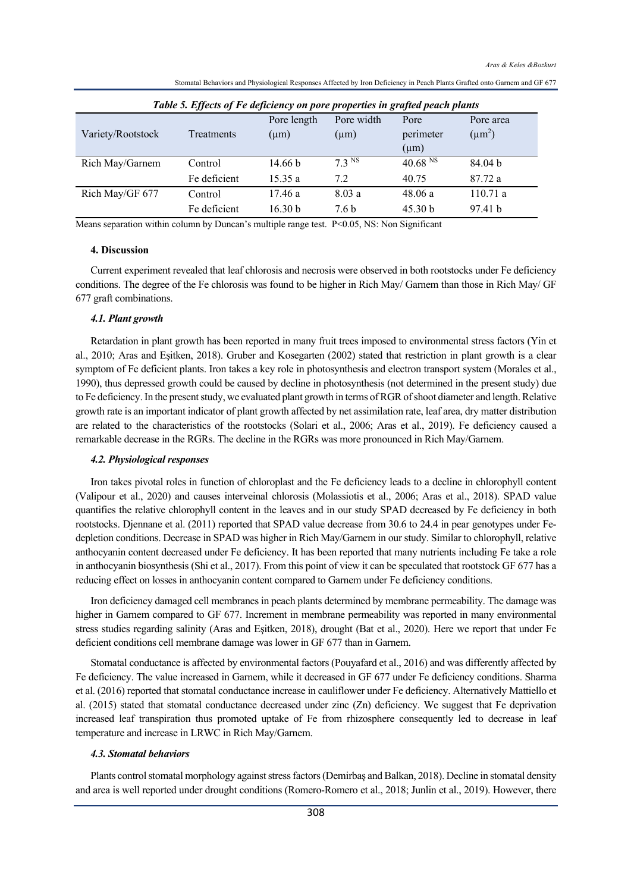| Table 5. Effects of Fe deficiency on pore properties in grafted peach plants |              |                    |            |                    |                    |
|------------------------------------------------------------------------------|--------------|--------------------|------------|--------------------|--------------------|
|                                                                              |              | Pore length        | Pore width | Pore               | Pore area          |
| Variety/Rootstock                                                            | Treatments   | $(\mu m)$          | $(\mu m)$  | perimeter          | $(\mu m^2)$        |
|                                                                              |              |                    |            | $(\mu m)$          |                    |
| Rich May/Garnem                                                              | Control      | 14.66 b            | $7.3$ NS   | 40.68 $N$ S        | 84.04 <sub>b</sub> |
|                                                                              | Fe deficient | 15.35a             | 7.2        | 40.75              | 87.72 a            |
| Rich May/GF 677                                                              | Control      | 17.46a             | 8.03a      | 48.06a             | 110.71a            |
|                                                                              | Fe deficient | 16.30 <sub>b</sub> | 7.6 b      | 45.30 <sub>b</sub> | 97.41 <sub>b</sub> |

Stomatal Behaviors and Physiological Responses Affected by Iron Deficiency in Peach Plants Grafted onto Garnem and GF 677

Means separation within column by Duncan's multiple range test. P<0.05, NS: Non Significant

### **4. Discussion**

Current experiment revealed that leaf chlorosis and necrosis were observed in both rootstocks under Fe deficiency conditions. The degree of the Fe chlorosis was found to be higher in Rich May/ Garnem than those in Rich May/ GF 677 graft combinations.

### *4.1. Plant growth*

Retardation in plant growth has been reported in many fruit trees imposed to environmental stress factors (Yin et al., 2010; Aras and Eşitken, 2018). Gruber and Kosegarten (2002) stated that restriction in plant growth is a clear symptom of Fe deficient plants. Iron takes a key role in photosynthesis and electron transport system (Morales et al., 1990), thus depressed growth could be caused by decline in photosynthesis (not determined in the present study) due to Fe deficiency. In the present study, we evaluated plant growth in terms of RGR of shoot diameter and length. Relative growth rate is an important indicator of plant growth affected by net assimilation rate, leaf area, dry matter distribution are related to the characteristics of the rootstocks (Solari et al., 2006; Aras et al., 2019). Fe deficiency caused a remarkable decrease in the RGRs. The decline in the RGRs was more pronounced in Rich May/Garnem.

#### *4.2. Physiological responses*

Iron takes pivotal roles in function of chloroplast and the Fe deficiency leads to a decline in chlorophyll content (Valipour et al., 2020) and causes interveinal chlorosis (Molassiotis et al., 2006; Aras et al., 2018). SPAD value quantifies the relative chlorophyll content in the leaves and in our study SPAD decreased by Fe deficiency in both rootstocks. Djennane et al. (2011) reported that SPAD value decrease from 30.6 to 24.4 in pear genotypes under Fedepletion conditions. Decrease in SPAD was higher in Rich May/Garnem in our study. Similar to chlorophyll, relative anthocyanin content decreased under Fe deficiency. It has been reported that many nutrients including Fe take a role in anthocyanin biosynthesis (Shi et al., 2017). From this point of view it can be speculated that rootstock GF 677 has a reducing effect on losses in anthocyanin content compared to Garnem under Fe deficiency conditions.

Iron deficiency damaged cell membranes in peach plants determined by membrane permeability. The damage was higher in Garnem compared to GF 677. Increment in membrane permeability was reported in many environmental stress studies regarding salinity (Aras and Eşitken, 2018), drought (Bat et al., 2020). Here we report that under Fe deficient conditions cell membrane damage was lower in GF 677 than in Garnem.

Stomatal conductance is affected by environmental factors (Pouyafard et al., 2016) and was differently affected by Fe deficiency. The value increased in Garnem, while it decreased in GF 677 under Fe deficiency conditions. Sharma et al. (2016) reported that stomatal conductance increase in cauliflower under Fe deficiency. Alternatively Mattiello et al. (2015) stated that stomatal conductance decreased under zinc (Zn) deficiency. We suggest that Fe deprivation increased leaf transpiration thus promoted uptake of Fe from rhizosphere consequently led to decrease in leaf temperature and increase in LRWC in Rich May/Garnem.

#### *4.3. Stomatal behaviors*

Plants control stomatal morphology against stress factors (Demirbaş and Balkan, 2018). Decline in stomatal density and area is well reported under drought conditions (Romero-Romero et al., 2018; Junlin et al., 2019). However, there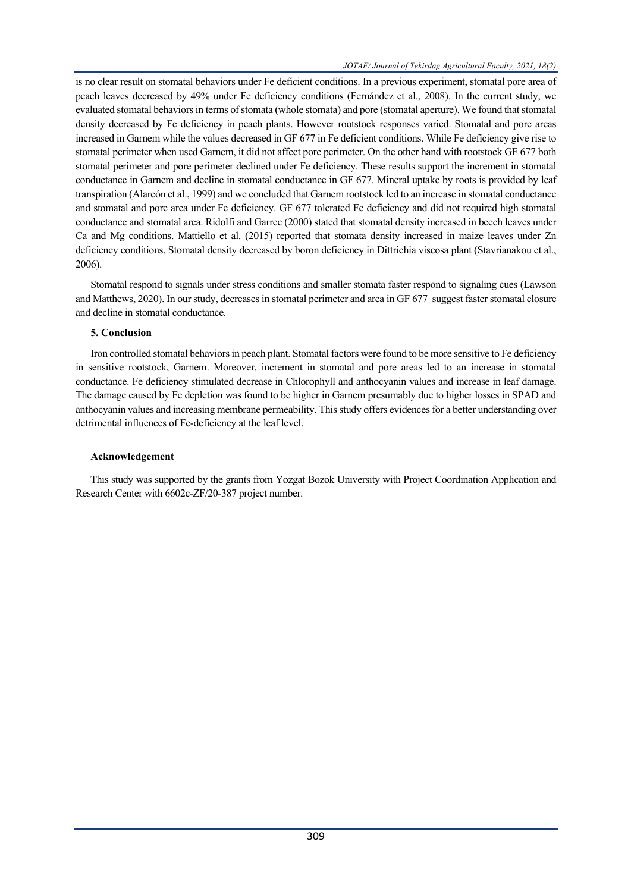is no clear result on stomatal behaviors under Fe deficient conditions. In a previous experiment, stomatal pore area of peach leaves decreased by 49% under Fe deficiency conditions (Fernández et al., 2008). In the current study, we evaluated stomatal behaviors in terms of stomata (whole stomata) and pore (stomatal aperture). We found that stomatal density decreased by Fe deficiency in peach plants. However rootstock responses varied. Stomatal and pore areas increased in Garnem while the values decreased in GF 677 in Fe deficient conditions. While Fe deficiency give rise to stomatal perimeter when used Garnem, it did not affect pore perimeter. On the other hand with rootstock GF 677 both stomatal perimeter and pore perimeter declined under Fe deficiency. These results support the increment in stomatal conductance in Garnem and decline in stomatal conductance in GF 677. Mineral uptake by roots is provided by leaf transpiration (Alarcón et al., 1999) and we concluded that Garnem rootstock led to an increase in stomatal conductance and stomatal and pore area under Fe deficiency. GF 677 tolerated Fe deficiency and did not required high stomatal conductance and stomatal area. Ridolfi and Garrec (2000) stated that stomatal density increased in beech leaves under Ca and Mg conditions. Mattiello et al. (2015) reported that stomata density increased in maize leaves under Zn deficiency conditions. Stomatal density decreased by boron deficiency in Dittrichia viscosa plant (Stavrianakou et al., 2006).

Stomatal respond to signals under stress conditions and smaller stomata faster respond to signaling cues (Lawson and Matthews, 2020). In our study, decreases in stomatal perimeter and area in GF 677 suggest faster stomatal closure and decline in stomatal conductance.

### **5. Conclusion**

Iron controlled stomatal behaviors in peach plant. Stomatal factors were found to be more sensitive to Fe deficiency in sensitive rootstock, Garnem. Moreover, increment in stomatal and pore areas led to an increase in stomatal conductance. Fe deficiency stimulated decrease in Chlorophyll and anthocyanin values and increase in leaf damage. The damage caused by Fe depletion was found to be higher in Garnem presumably due to higher losses in SPAD and anthocyanin values and increasing membrane permeability. This study offers evidences for a better understanding over detrimental influences of Fe-deficiency at the leaf level.

### **Acknowledgement**

This study was supported by the grants from Yozgat Bozok University with Project Coordination Application and Research Center with 6602c-ZF/20-387 project number.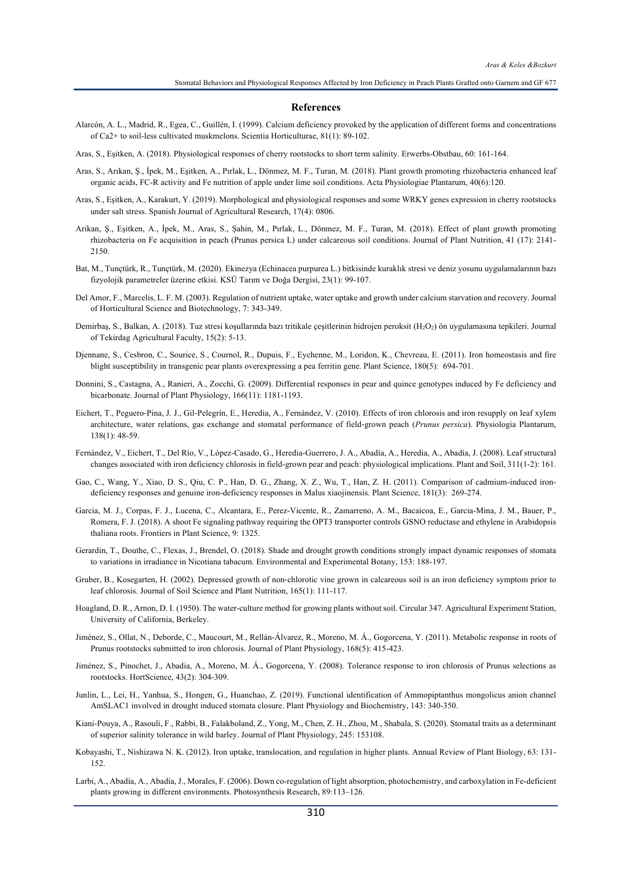#### **References**

- Alarcón, A. L., Madrid, R., Egea, C., Guillén, I. (1999). Calcium deficiency provoked by the application of different forms and concentrations of Ca2+ to soil-less cultivated muskmelons. Scientia Horticulturae, 81(1): 89-102.
- Aras, S., Eşitken, A. (2018). Physiological responses of cherry rootstocks to short term salinity. Erwerbs-Obstbau, 60: 161-164.
- Aras, S., Arıkan, Ş., İpek, M., Eşitken, A., Pırlak, L., Dönmez, M. F., Turan, M. (2018). Plant growth promoting rhizobacteria enhanced leaf organic acids, FC-R activity and Fe nutrition of apple under lime soil conditions. Acta Physiologiae Plantarum, 40(6):120.
- Aras, S., Eşitken, A., Karakurt, Y. (2019). Morphological and physiological responses and some WRKY genes expression in cherry rootstocks under salt stress. Spanish Journal of Agricultural Research, 17(4): 0806.
- Arikan, Ş., Eşitken, A., İpek, M., Aras, S., Şahin, M., Pırlak, L., Dönmez, M. F., Turan, M. (2018). Effect of plant growth promoting rhizobacteria on Fe acquisition in peach (Prunus persica L) under calcareous soil conditions. Journal of Plant Nutrition, 41 (17): 2141- 2150.
- Bat, M., Tunçtürk, R., Tunçtürk, M. (2020). Ekinezya (Echinacea purpurea L.) bitkisinde kuraklık stresi ve deniz yosunu uygulamalarının bazı fizyolojik parametreler üzerine etkisi. KSÜ Tarım ve Doğa Dergisi, 23(1): 99-107.
- Del Amor, F., Marcelis, L. F. M. (2003). Regulation of nutrient uptake, water uptake and growth under calcium starvation and recovery. Journal of Horticultural Science and Biotechnology, 7: 343-349.
- Demirbaş, S., Balkan, A. (2018). Tuz stresi koşullarında bazı tritikale çeşitlerinin hidrojen peroksit (H<sub>2</sub>O<sub>2</sub>) ön uygulamasına tepkileri. Journal of Tekirdag Agricultural Faculty, 15(2): 5-13.
- Djennane, S., Cesbron, C., Sourice, S., Cournol, R., Dupuis, F., Eychenne, M., Loridon, K., Chevreau, E. (2011). Iron homeostasis and fire blight susceptibility in transgenic pear plants overexpressing a pea ferritin gene. Plant Science, 180(5): 694-701.
- Donnini, S., Castagna, A., Ranieri, A., Zocchi, G. (2009). Differential responses in pear and quince genotypes induced by Fe deficiency and bicarbonate. Journal of Plant Physiology, 166(11): 1181-1193.
- Eichert, T., Peguero-Pina, J. J., Gil-Pelegrín, E., Heredia, A., Fernández, V. (2010). Effects of iron chlorosis and iron resupply on leaf xylem architecture, water relations, gas exchange and stomatal performance of field-grown peach (*Prunus persica*). Physiologia Plantarum, 138(1): 48-59.
- Fernández, V., Eichert, T., Del Río, V., López-Casado, G., Heredia-Guerrero, J. A., Abadía, A., Heredia, A., Abadía, J. (2008). Leaf structural changes associated with iron deficiency chlorosis in field-grown pear and peach: physiological implications. Plant and Soil, 311(1-2): 161.
- Gao, C., Wang, Y., Xiao, D. S., Qiu, C. P., Han, D. G., Zhang, X. Z., Wu, T., Han, Z. H. (2011). Comparison of cadmium-induced irondeficiency responses and genuine iron-deficiency responses in Malus xiaojinensis. Plant Science, 181(3): 269-274.
- Garcia, M. J., Corpas, F. J., Lucena, C., Alcantara, E., Perez-Vicente, R., Zamarreno, A. M., Bacaicoa, E., Garcia-Mina, J. M., Bauer, P., Romera, F. J. (2018). A shoot Fe signaling pathway requiring the OPT3 transporter controls GSNO reductase and ethylene in Arabidopsis thaliana roots. Frontiers in Plant Science, 9: 1325.
- Gerardin, T., Douthe, C., Flexas, J., Brendel, O. (2018). Shade and drought growth conditions strongly impact dynamic responses of stomata to variations in irradiance in Nicotiana tabacum. Environmental and Experimental Botany, 153: 188-197.
- Gruber, B., Kosegarten, H. (2002). Depressed growth of non-chlorotic vine grown in calcareous soil is an iron deficiency symptom prior to leaf chlorosis. Journal of Soil Science and Plant Nutrition, 165(1): 111-117.
- Hoagland, D. R., Arnon, D. I. (1950). The water-culture method for growing plants without soil. Circular 347. Agricultural Experiment Station, University of California, Berkeley.
- Jiménez, S., Ollat, N., Deborde, C., Maucourt, M., Rellán-Álvarez, R., Moreno, M. Á., Gogorcena, Y. (2011). Metabolic response in roots of Prunus rootstocks submitted to iron chlorosis. Journal of Plant Physiology, 168(5): 415-423.
- Jiménez, S., Pinochet, J., Abadia, A., Moreno, M. Á., Gogorcena, Y. (2008). Tolerance response to iron chlorosis of Prunus selections as rootstocks. HortScience, 43(2): 304-309.
- Junlin, L., Lei, H., Yanhua, S., Hongen, G., Huanchao, Z. (2019). Functional identification of Ammopiptanthus mongolicus anion channel AmSLAC1 involved in drought induced stomata closure. Plant Physiology and Biochemistry, 143: 340-350.
- Kiani-Pouya, A., Rasouli, F., Rabbi, B., Falakboland, Z., Yong, M., Chen, Z. H., Zhou, M., Shabala, S. (2020). Stomatal traits as a determinant of superior salinity tolerance in wild barley. Journal of Plant Physiology, 245: 153108.
- Kobayashi, T., Nishizawa N. K. (2012). Iron uptake, translocation, and regulation in higher plants. Annual Review of Plant Biology, 63: 131- 152.
- Larbi, A., Abadía, A., Abadía, J., Morales, F. (2006). Down co-regulation of light absorption, photochemistry, and carboxylation in Fe-deficient plants growing in different environments. Photosynthesis Research, 89:113–126.